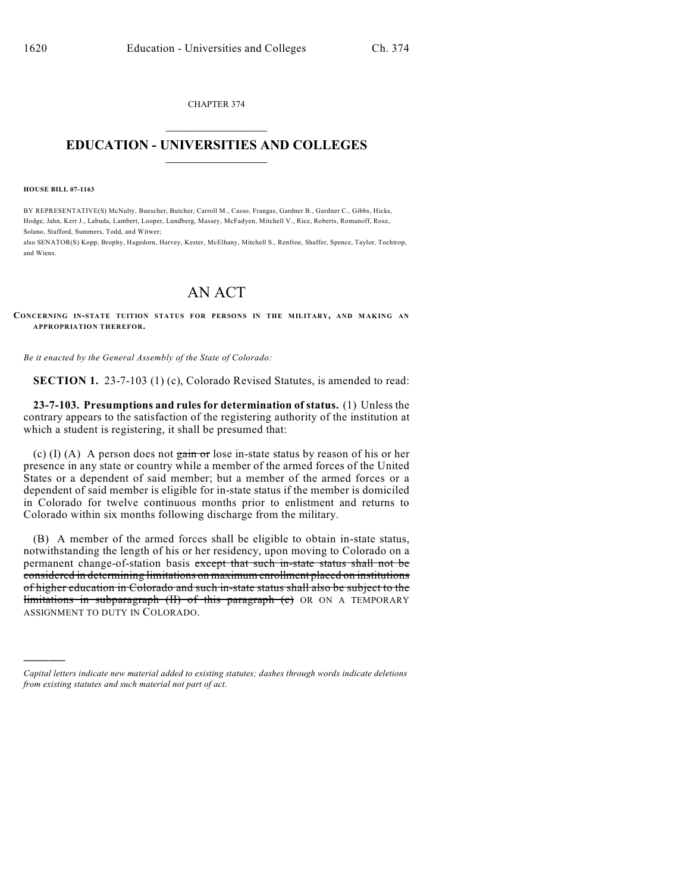CHAPTER 374  $\overline{\phantom{a}}$  . The set of the set of the set of the set of the set of the set of the set of the set of the set of the set of the set of the set of the set of the set of the set of the set of the set of the set of the set o

## **EDUCATION - UNIVERSITIES AND COLLEGES**  $\_$

**HOUSE BILL 07-1163**

)))))

BY REPRESENTATIVE(S) McNulty, Buescher, Butcher, Carroll M., Casso, Frangas, Gardner B., Gardner C., Gibbs, Hicks, Hodge, Jahn, Kerr J., Labuda, Lambert, Looper, Lundberg, Massey, McFadyen, Mitchell V., Rice, Roberts, Romanoff, Rose, Solano, Stafford, Summers, Todd, and Witwer;

also SENATOR(S) Kopp, Brophy, Hagedorn, Harvey, Kester, McElhany, Mitchell S., Renfroe, Shaffer, Spence, Taylor, Tochtrop, and Wiens.

## AN ACT

**CONCERNING IN-STATE TUITION STATUS FOR PERSONS IN THE MILITARY, AND M AKING AN APPROPRIATION THEREFOR.**

*Be it enacted by the General Assembly of the State of Colorado:*

**SECTION 1.** 23-7-103 (1) (c), Colorado Revised Statutes, is amended to read:

**23-7-103. Presumptions and rules for determination of status.** (1) Unless the contrary appears to the satisfaction of the registering authority of the institution at which a student is registering, it shall be presumed that:

(c) (I) (A) A person does not  $\frac{1}{2}$  and  $\frac{1}{2}$  hose in-state status by reason of his or her presence in any state or country while a member of the armed forces of the United States or a dependent of said member; but a member of the armed forces or a dependent of said member is eligible for in-state status if the member is domiciled in Colorado for twelve continuous months prior to enlistment and returns to Colorado within six months following discharge from the military.

(B) A member of the armed forces shall be eligible to obtain in-state status, notwithstanding the length of his or her residency, upon moving to Colorado on a permanent change-of-station basis except that such in-state status shall not be considered in determining limitations on maximum enrollment placed on institutions of higher education in Colorado and such in-state status shall also be subject to the limitations in subparagraph (II) of this paragraph (c) OR ON A TEMPORARY ASSIGNMENT TO DUTY IN COLORADO.

*Capital letters indicate new material added to existing statutes; dashes through words indicate deletions from existing statutes and such material not part of act.*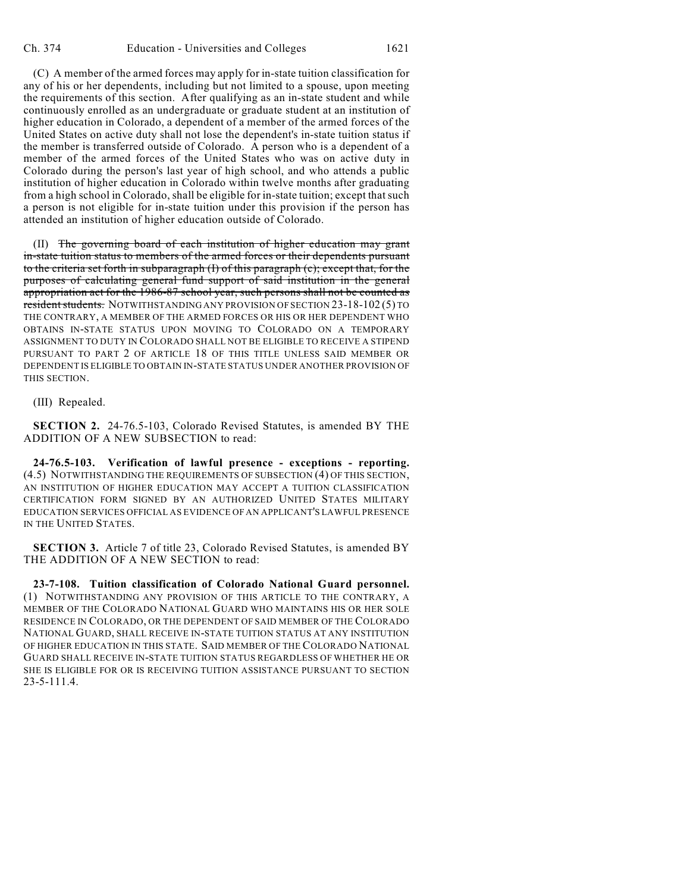(C) A member of the armed forces may apply for in-state tuition classification for any of his or her dependents, including but not limited to a spouse, upon meeting the requirements of this section. After qualifying as an in-state student and while continuously enrolled as an undergraduate or graduate student at an institution of higher education in Colorado, a dependent of a member of the armed forces of the United States on active duty shall not lose the dependent's in-state tuition status if the member is transferred outside of Colorado. A person who is a dependent of a member of the armed forces of the United States who was on active duty in Colorado during the person's last year of high school, and who attends a public institution of higher education in Colorado within twelve months after graduating from a high school in Colorado, shall be eligible for in-state tuition; except that such a person is not eligible for in-state tuition under this provision if the person has attended an institution of higher education outside of Colorado.

(II) The governing board of each institution of higher education may grant in-state tuition status to members of the armed forces or their dependents pursuant to the criteria set forth in subparagraph (I) of this paragraph (c); except that, for the purposes of calculating general fund support of said institution in the general appropriation act for the 1986-87 school year, such persons shall not be counted as resident students. NOTWITHSTANDING ANY PROVISION OF SECTION 23-18-102 (5) TO THE CONTRARY, A MEMBER OF THE ARMED FORCES OR HIS OR HER DEPENDENT WHO OBTAINS IN-STATE STATUS UPON MOVING TO COLORADO ON A TEMPORARY ASSIGNMENT TO DUTY IN COLORADO SHALL NOT BE ELIGIBLE TO RECEIVE A STIPEND PURSUANT TO PART 2 OF ARTICLE 18 OF THIS TITLE UNLESS SAID MEMBER OR DEPENDENT IS ELIGIBLE TO OBTAIN IN-STATE STATUS UNDER ANOTHER PROVISION OF THIS SECTION.

(III) Repealed.

**SECTION 2.** 24-76.5-103, Colorado Revised Statutes, is amended BY THE ADDITION OF A NEW SUBSECTION to read:

**24-76.5-103. Verification of lawful presence - exceptions - reporting.** (4.5) NOTWITHSTANDING THE REQUIREMENTS OF SUBSECTION (4) OF THIS SECTION, AN INSTITUTION OF HIGHER EDUCATION MAY ACCEPT A TUITION CLASSIFICATION CERTIFICATION FORM SIGNED BY AN AUTHORIZED UNITED STATES MILITARY EDUCATION SERVICES OFFICIAL AS EVIDENCE OF AN APPLICANT'S LAWFUL PRESENCE IN THE UNITED STATES.

**SECTION 3.** Article 7 of title 23, Colorado Revised Statutes, is amended BY THE ADDITION OF A NEW SECTION to read:

**23-7-108. Tuition classification of Colorado National Guard personnel.** (1) NOTWITHSTANDING ANY PROVISION OF THIS ARTICLE TO THE CONTRARY, A MEMBER OF THE COLORADO NATIONAL GUARD WHO MAINTAINS HIS OR HER SOLE RESIDENCE IN COLORADO, OR THE DEPENDENT OF SAID MEMBER OF THE COLORADO NATIONAL GUARD, SHALL RECEIVE IN-STATE TUITION STATUS AT ANY INSTITUTION OF HIGHER EDUCATION IN THIS STATE. SAID MEMBER OF THE COLORADO NATIONAL GUARD SHALL RECEIVE IN-STATE TUITION STATUS REGARDLESS OF WHETHER HE OR SHE IS ELIGIBLE FOR OR IS RECEIVING TUITION ASSISTANCE PURSUANT TO SECTION 23-5-111.4.